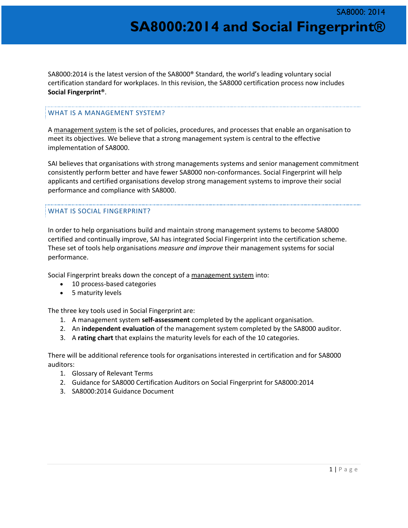SA8000:2014 is the latest version of the SA8000® Standard, the world's leading voluntary social certification standard for workplaces. In this revision, the SA8000 certification process now includes **Social Fingerprint®**.

#### WHAT IS A MANAGEMENT SYSTEM?

A management system is the set of policies, procedures, and processes that enable an organisation to meet its objectives. We believe that a strong management system is central to the effective implementation of SA8000.

SAI believes that organisations with strong managements systems and senior management commitment consistently perform better and have fewer SA8000 non-conformances. Social Fingerprint will help applicants and certified organisations develop strong management systems to improve their social performance and compliance with SA8000.

#### WHAT IS SOCIAL FINGERPRINT?

In order to help organisations build and maintain strong management systems to become SA8000 certified and continually improve, SAI has integrated Social Fingerprint into the certification scheme. These set of tools help organisations *measure and improve* their management systems for social performance.

Social Fingerprint breaks down the concept of a management system into:

- 10 process-based categories
- 5 maturity levels

The three key tools used in Social Fingerprint are:

- 1. A management system **self-assessment** completed by the applicant organisation.
- 2. An **independent evaluation** of the management system completed by the SA8000 auditor.
- 3. A **rating chart** that explains the maturity levels for each of the 10 categories.

There will be additional reference tools for organisations interested in certification and for SA8000 auditors:

- 1. Glossary of Relevant Terms
- 2. Guidance for SA8000 Certification Auditors on Social Fingerprint for SA8000:2014
- 3. SA8000:2014 Guidance Document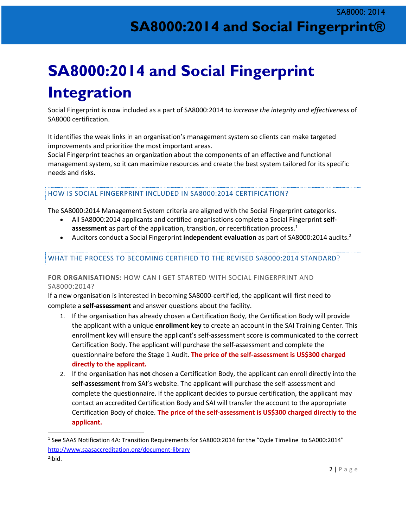# **SA8000:2014 and Social Fingerprint Integration**

Social Fingerprint is now included as a part of SA8000:2014 to *increase the integrity and effectiveness* of SA8000 certification.

It identifies the weak links in an organisation's management system so clients can make targeted improvements and prioritize the most important areas.

Social Fingerprint teaches an organization about the components of an effective and functional management system, so it can maximize resources and create the best system tailored for its specific needs and risks.

#### HOW IS SOCIAL FINGERPRINT INCLUDED IN SA8000:2014 CERTIFICATION?

The SA8000:2014 Management System criteria are aligned with the Social Fingerprint categories.

- All SA8000:2014 applicants and certified organisations complete a Social Fingerprint **selfassessment** as part of the application, transition, or recertification process.<sup>1</sup>
- Auditors conduct a Social Fingerprint **independent evaluation** as part of SA8000:2014 audits.<sup>2</sup>

#### WHAT THE PROCESS TO BECOMING CERTIFIED TO THE REVISED SA8000:2014 STANDARD?

#### **FOR ORGANISATIONS:** HOW CAN I GET STARTED WITH SOCIAL FINGERPRINT AND SA8000:2014?

If a new organisation is interested in becoming SA8000-certified, the applicant will first need to complete a **self-assessment** and answer questions about the facility.

- 1. If the organisation has already chosen a Certification Body, the Certification Body will provide the applicant with a unique **enrollment key** to create an account in the SAI Training Center. This enrollment key will ensure the applicant's self-assessment score is communicated to the correct Certification Body. The applicant will purchase the self-assessment and complete the questionnaire before the Stage 1 Audit. **The price of the self-assessment is US\$300 charged directly to the applicant.**
- 2. If the organisation has **not** chosen a Certification Body, the applicant can enroll directly into the **self-assessment** from SAI's website. The applicant will purchase the self-assessment and complete the questionnaire. If the applicant decides to pursue certification, the applicant may contact an accredited Certification Body and SAI will transfer the account to the appropriate Certification Body of choice. **The price of the self-assessment is US\$300 charged directly to the applicant.**

 $\overline{a}$ 

<sup>&</sup>lt;sup>1</sup> See SAAS Notification 4A: Transition Requirements for SA8000:2014 for the "Cycle Timeline to SA000:2014" <http://www.saasaccreditation.org/document-library> <sup>2</sup>Ibid.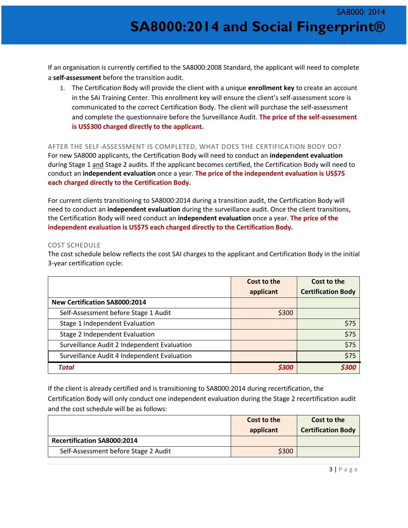If an organisation is currently certified to the SA8000:2008 Standard, the applicant will need to complete a **self-assessment** before the transition audit.

1. The Certification Body will provide the client with a unique **enrollment key** to create an account in the SAI Training Center. This enrollment key will ensure the client's self-assessment score is communicated to the correct Certification Body. The client will purchase the self-assessment and complete the questionnaire before the Surveillance Audit. **The price of the self-assessment is US\$300 charged directly to the applicant.**

#### AFTER THE SELF-ASSESSMENT IS COMPLETED, WHAT DOES THE CERTIFICATION BODY DO?

For new SA8000 applicants, the Certification Body will need to conduct an **independent evaluation** during Stage 1 and Stage 2 audits. If the applicant becomes certified, the Certification Body will need to conduct an **independent evaluation** once a year. **The price of the independent evaluation is US\$75 each charged directly to the Certification Body.** 

For current clients transitioning to SA8000:2014 during a transition audit, the Certification Body will need to conduct an **independent evaluation** during the surveillance audit. Once the client transitions, the Certification Body will need conduct an **independent evaluation** once a year. **The price of the independent evaluation is US\$75 each charged directly to the Certification Body.**

#### COST SCHEDULE

The cost schedule below reflects the cost SAI charges to the applicant and Certification Body in the initial 3-year certification cycle:

|                                             | Cost to the | Cost to the               |
|---------------------------------------------|-------------|---------------------------|
|                                             | applicant   | <b>Certification Body</b> |
| New Certification SA8000:2014               |             |                           |
| Self-Assessment before Stage 1 Audit        | \$300       |                           |
| Stage 1 Independent Evaluation              |             | \$75                      |
| Stage 2 Independent Evaluation              |             | \$75                      |
| Surveillance Audit 2 Independent Evaluation |             | \$75                      |
| Surveillance Audit 4 Independent Evaluation |             | \$75                      |
| <b>Total</b>                                | \$300       | \$300                     |

If the client is already certified and is transitioning to SA8000:2014 during recertification, the Certification Body will only conduct one independent evaluation during the Stage 2 recertification audit and the cost schedule will be as follows:

|                                      | Cost to the<br>applicant | Cost to the<br><b>Certification Body</b> |  |
|--------------------------------------|--------------------------|------------------------------------------|--|
| <b>Recertification SA8000:2014</b>   |                          |                                          |  |
| Self-Assessment before Stage 2 Audit | \$300                    |                                          |  |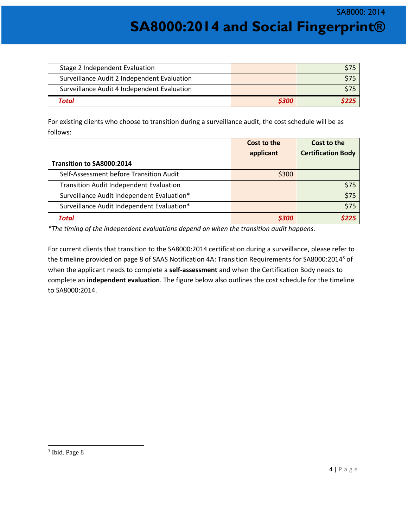SA8000: 2014

**SA8000:2014 and Social Fingerprint®**

| Stage 2 Independent Evaluation              |       |     |
|---------------------------------------------|-------|-----|
| Surveillance Audit 2 Independent Evaluation |       |     |
| Surveillance Audit 4 Independent Evaluation |       | S75 |
| Total                                       | \$300 |     |

For existing clients who choose to transition during a surveillance audit, the cost schedule will be as follows:

|                                                | Cost to the | Cost to the               |
|------------------------------------------------|-------------|---------------------------|
|                                                | applicant   | <b>Certification Body</b> |
| Transition to SA8000:2014                      |             |                           |
| Self-Assessment before Transition Audit        | \$300       |                           |
| <b>Transition Audit Independent Evaluation</b> |             | \$75                      |
| Surveillance Audit Independent Evaluation*     |             | \$75                      |
| Surveillance Audit Independent Evaluation*     |             | \$75                      |
| <b>Total</b>                                   | \$300       | S225                      |

*\*The timing of the independent evaluations depend on when the transition audit happens.* 

For current clients that transition to the SA8000:2014 certification during a surveillance, please refer to the timeline provided on page 8 of SAAS Notification 4A: Transition Requirements for SA8000:2014<sup>3</sup> of when the applicant needs to complete a **self-assessment** and when the Certification Body needs to complete an **independent evaluation**. The figure below also outlines the cost schedule for the timeline to SA8000:2014.

 $\overline{a}$ 

<sup>&</sup>lt;sup>3</sup> Ibid. Page 8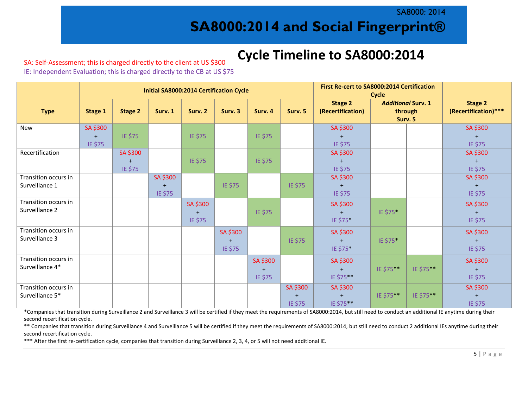SA8000: 2014

## **SA8000:2014 and Social Fingerprint®**

# **Cycle Timeline to SA8000:2014**

### SA: Self-Assessment; this is charged directly to the client at US \$300

IE: Independent Evaluation; this is charged directly to the CB at US \$75

|                                         | <b>Initial SA8000:2014 Certification Cycle</b> |                                       |                                  |                     |                            |                            |                     | First Re-cert to SA8000:2014 Certification<br><b>Cycle</b> |                                                 |           |                                  |
|-----------------------------------------|------------------------------------------------|---------------------------------------|----------------------------------|---------------------|----------------------------|----------------------------|---------------------|------------------------------------------------------------|-------------------------------------------------|-----------|----------------------------------|
| <b>Type</b>                             | Stage 1                                        | <b>Stage 2</b>                        | Surv. 1                          | Surv. 2             | Surv. 3                    | Surv. 4                    | Surv. 5             | <b>Stage 2</b><br>(Recertification)                        | <b>Additional Surv. 1</b><br>through<br>Surv. 5 |           | Stage 2<br>(Recertification) *** |
| <b>New</b>                              | SA \$300<br>$+$<br>IE \$75                     | IE \$75                               |                                  | IE \$75             |                            | IE \$75                    |                     | SA \$300<br>IE \$75                                        |                                                 |           | SA \$300<br>$+$<br>IE \$75       |
| Recertification                         |                                                | SA \$300<br>$\overline{ }$<br>IE \$75 |                                  | IE \$75             |                            | IE \$75                    |                     | SA \$300<br>$+$<br>IE \$75                                 |                                                 |           | SA \$300<br>$+$<br>IE \$75       |
| Transition occurs in<br>Surveillance 1  |                                                |                                       | SA \$300<br>$\ddot{}$<br>IE \$75 |                     | IE \$75                    |                            | IE \$75             | SA \$300<br>$+$<br>IE \$75                                 |                                                 |           | SA \$300<br>$+$<br>IE \$75       |
| Transition occurs in<br>Surveillance 2  |                                                |                                       |                                  | SA \$300<br>IE \$75 |                            | IE \$75                    |                     | SA \$300<br>$+$<br>IE \$75*                                | IE \$75*                                        |           | SA \$300<br>$+$<br>IE \$75       |
| Transition occurs in<br>Surveillance 3  |                                                |                                       |                                  |                     | SA \$300<br>$+$<br>IE \$75 |                            | IE \$75             | SA \$300<br>$+$<br>IE \$75*                                | IE \$75*                                        |           | SA \$300<br>$+$<br>IE \$75       |
| Transition occurs in<br>Surveillance 4* |                                                |                                       |                                  |                     |                            | SA \$300<br>$+$<br>IE \$75 |                     | SA \$300<br>$+$<br>IE \$75**                               | IE \$75**                                       | IE \$75** | SA \$300<br>$+$<br>IE \$75       |
| Transition occurs in<br>Surveillance 5* |                                                |                                       |                                  |                     |                            |                            | SA \$300<br>IE \$75 | SA \$300<br>$\ddot{}$<br>IE \$75**                         | IE \$75**                                       | IE \$75** | SA \$300<br>$+$<br>IE \$75       |

\*Companies that transition during Surveillance 2 and Surveillance 3 will be certified if they meet the requirements of SA8000:2014, but still need to conduct an additional IE anytime during their second recertification cycle.

\*\* Companies that transition during Surveillance 4 and Surveillance 5 will be certified if they meet the requirements of SA8000:2014, but still need to conduct 2 additional IEs anytime during their second recertification cycle.

\*\*\* After the first re-certification cycle, companies that transition during Surveillance 2, 3, 4, or 5 will not need additional IE.